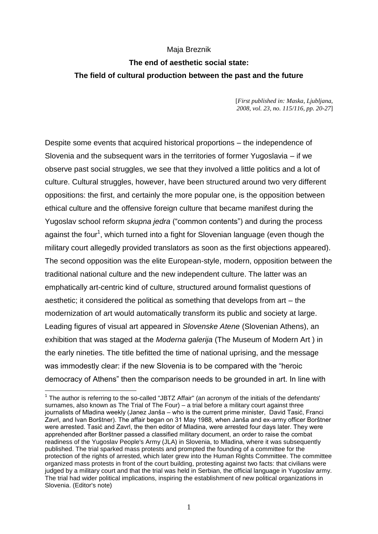## Maja Breznik

## **The end of aesthetic social state: The field of cultural production between the past and the future**

[*First published in: Maska, Ljubljana, 2008, vol. 23, no. 115/116, pp. 20-27*]

Despite some events that acquired historical proportions – the independence of Slovenia and the subsequent wars in the territories of former Yugoslavia – if we observe past social struggles, we see that they involved a little politics and a lot of culture. Cultural struggles, however, have been structured around two very different oppositions: the first, and certainly the more popular one, is the opposition between ethical culture and the offensive foreign culture that became manifest during the Yugoslav school reform *skupna jedra* ("common contents") and during the process against the four<sup>1</sup>, which turned into a fight for Slovenian language (even though the military court allegedly provided translators as soon as the first objections appeared). The second opposition was the elite European-style, modern, opposition between the traditional national culture and the new independent culture. The latter was an emphatically art-centric kind of culture, structured around formalist questions of aesthetic; it considered the political as something that develops from art – the modernization of art would automatically transform its public and society at large. Leading figures of visual art appeared in *Slovenske Atene* (Slovenian Athens), an exhibition that was staged at the *Moderna galerija* (The Museum of Modern Art ) in the early nineties. The title befitted the time of national uprising, and the message was immodestly clear: if the new Slovenia is to be compared with the "heroic democracy of Athens" then the comparison needs to be grounded in art. In line with

 $1$  The author is referring to the so-called "JBTZ Affair" (an acronym of the initials of the defendants' surnames, also known as The Trial of The Four) – a trial before a military court against three journalists of Mladina weekly (Janez Janša – who is the current prime minister, David Tasić, Franci Zavrl, and Ivan Borštner). The affair began on 31 May 1988, when Janša and ex-army officer Borštner were arrested. Tasić and Zavrl, the then editor of Mladina, were arrested four days later. They were apprehended after Borštner passed a classified military document, an order to raise the combat readiness of the Yugoslav People's Army (JLA) in Slovenia, to Mladina, where it was subsequently published. The trial sparked mass protests and prompted the founding of a committee for the protection of the rights of arrested, which later grew into the Human Rights Committee. The committee organized mass protests in front of the court building, protesting against two facts: that civilians were judged by a military court and that the trial was held in Serbian, the official language in Yugoslav army. The trial had wider political implications, inspiring the establishment of new political organizations in Slovenia. (Editor's note)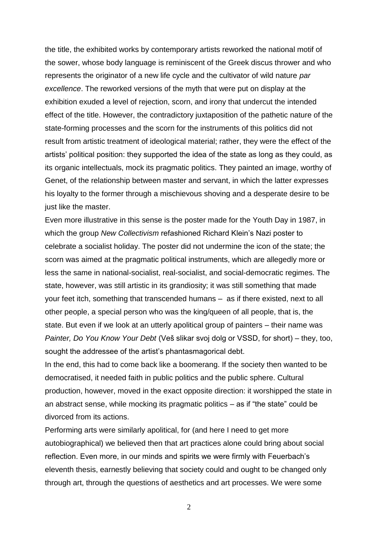the title, the exhibited works by contemporary artists reworked the national motif of the sower, whose body language is reminiscent of the Greek discus thrower and who represents the originator of a new life cycle and the cultivator of wild nature *par excellence*. The reworked versions of the myth that were put on display at the exhibition exuded a level of rejection, scorn, and irony that undercut the intended effect of the title. However, the contradictory juxtaposition of the pathetic nature of the state-forming processes and the scorn for the instruments of this politics did not result from artistic treatment of ideological material; rather, they were the effect of the artists' political position: they supported the idea of the state as long as they could, as its organic intellectuals, mock its pragmatic politics. They painted an image, worthy of Genet, of the relationship between master and servant, in which the latter expresses his loyalty to the former through a mischievous shoving and a desperate desire to be just like the master.

Even more illustrative in this sense is the poster made for the Youth Day in 1987, in which the group *New Collectivism* refashioned Richard Klein's Nazi poster to celebrate a socialist holiday. The poster did not undermine the icon of the state; the scorn was aimed at the pragmatic political instruments, which are allegedly more or less the same in national-socialist, real-socialist, and social-democratic regimes. The state, however, was still artistic in its grandiosity; it was still something that made your feet itch, something that transcended humans – as if there existed, next to all other people, a special person who was the king/queen of all people, that is, the state. But even if we look at an utterly apolitical group of painters – their name was *Painter, Do You Know Your Debt* (Veš slikar svoj dolg or VSSD, for short) – they, too, sought the addressee of the artist's phantasmagorical debt.

In the end, this had to come back like a boomerang. If the society then wanted to be democratised, it needed faith in public politics and the public sphere. Cultural production, however, moved in the exact opposite direction: it worshipped the state in an abstract sense, while mocking its pragmatic politics – as if "the state" could be divorced from its actions.

Performing arts were similarly apolitical, for (and here I need to get more autobiographical) we believed then that art practices alone could bring about social reflection. Even more, in our minds and spirits we were firmly with Feuerbach's eleventh thesis, earnestly believing that society could and ought to be changed only through art, through the questions of aesthetics and art processes. We were some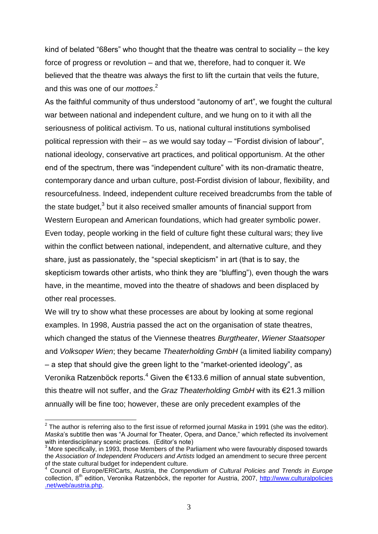kind of belated "68ers" who thought that the theatre was central to sociality – the key force of progress or revolution – and that we, therefore, had to conquer it. We believed that the theatre was always the first to lift the curtain that veils the future, and this was one of our *mottoes*. 2

As the faithful community of thus understood "autonomy of art", we fought the cultural war between national and independent culture, and we hung on to it with all the seriousness of political activism. To us, national cultural institutions symbolised political repression with their – as we would say today – "Fordist division of labour", national ideology, conservative art practices, and political opportunism. At the other end of the spectrum, there was "independent culture" with its non-dramatic theatre, contemporary dance and urban culture, post-Fordist division of labour, flexibility, and resourcefulness. Indeed, independent culture received breadcrumbs from the table of the state budget, $3$  but it also received smaller amounts of financial support from Western European and American foundations, which had greater symbolic power. Even today, people working in the field of culture fight these cultural wars; they live within the conflict between national, independent, and alternative culture, and they share, just as passionately, the "special skepticism" in art (that is to say, the skepticism towards other artists, who think they are "bluffing"), even though the wars have, in the meantime, moved into the theatre of shadows and been displaced by other real processes.

We will try to show what these processes are about by looking at some regional examples. In 1998, Austria passed the act on the organisation of state theatres, which changed the status of the Viennese theatres *Burgtheater*, *Wiener Staatsoper* and *Volksoper Wien*; they became *Theaterholding GmbH* (a limited liability company) – a step that should give the green light to the "market-oriented ideology", as Veronika Ratzenböck reports. $^{4}$  Given the €133.6 million of annual state subvention, this theatre will not suffer, and the *Graz Theaterholding GmbH* with its €21.3 million annually will be fine too; however, these are only precedent examples of the

<sup>2</sup> The author is referring also to the first issue of reformed journal *Maska* in 1991 (she was the editor). *Maska*'s subtitle then was "A Journal for Theater, Opera, and Dance," which reflected its involvement with interdisciplinary scenic practices. (Editor's note)

More specifically, in 1993, those Members of the Parliament who were favourably disposed towards the *Association of Independent Producers and Artists* lodged an amendment to secure three percent of the state cultural budget for independent culture.

<sup>4</sup> Council of Europe/ERICarts, Austria, the *Compendium of Cultural Policies and Trends in Europe* collection, 8<sup>th</sup> edition, Veronika Ratzenböck, the reporter for Austria, 2007, http://www.culturalpolicies .net/web/austria.php.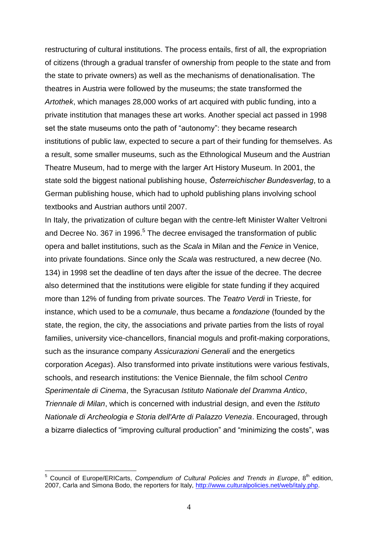restructuring of cultural institutions. The process entails, first of all, the expropriation of citizens (through a gradual transfer of ownership from people to the state and from the state to private owners) as well as the mechanisms of denationalisation. The theatres in Austria were followed by the museums; the state transformed the *Artothek*, which manages 28,000 works of art acquired with public funding, into a private institution that manages these art works. Another special act passed in 1998 set the state museums onto the path of "autonomy": they became research institutions of public law, expected to secure a part of their funding for themselves. As a result, some smaller museums, such as the Ethnological Museum and the Austrian Theatre Museum, had to merge with the larger Art History Museum. In 2001, the state sold the biggest national publishing house, *Österreichischer Bundesverlag*, to a German publishing house, which had to uphold publishing plans involving school textbooks and Austrian authors until 2007.

In Italy, the privatization of culture began with the centre-left Minister Walter Veltroni and Decree No. 367 in 1996.<sup>5</sup> The decree envisaged the transformation of public opera and ballet institutions, such as the *Scala* in Milan and the *Fenice* in Venice, into private foundations. Since only the *Scala* was restructured, a new decree (No. 134) in 1998 set the deadline of ten days after the issue of the decree. The decree also determined that the institutions were eligible for state funding if they acquired more than 12% of funding from private sources. The *Teatro Verdi* in Trieste, for instance, which used to be a *comunale*, thus became a *fondazione* (founded by the state, the region, the city, the associations and private parties from the lists of royal families, university vice-chancellors, financial moguls and profit-making corporations, such as the insurance company *Assicurazioni Generali* and the energetics corporation *Acegas*). Also transformed into private institutions were various festivals, schools, and research institutions: the Venice Biennale, the film school *Centro Sperimentale di Cinema*, the Syracusan *Istituto Nationale del Dramma Antico*, *Triennale di Milan*, which is concerned with industrial design, and even the *Istituto Nationale di Archeologia e Storia dell'Arte di Palazzo Venezia*. Encouraged, through a bizarre dialectics of "improving cultural production" and "minimizing the costs", was

<u>.</u>

Council of Europe/ERICarts, *Compendium of Cultural Policies and Trends in Europe*, 8<sup>th</sup> edition, 2007, Carla and Simona Bodo, the reporters for Italy, [http://www.culturalpolicies.net/web/italy.php.](http://www.culturalpolicies.net/web/italy.php)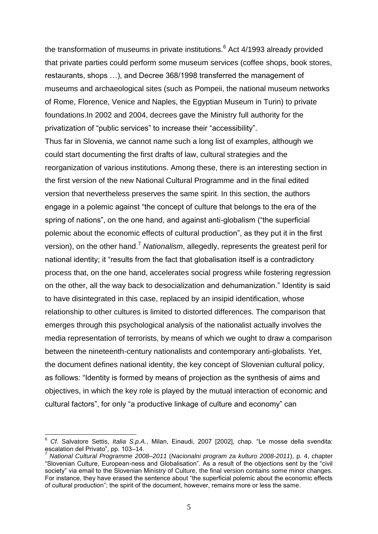the transformation of museums in private institutions. $6$  Act 4/1993 already provided that private parties could perform some museum services (coffee shops, book stores, restaurants, shops …), and Decree 368/1998 transferred the management of museums and archaeological sites (such as Pompeii, the national museum networks of Rome, Florence, Venice and Naples, the Egyptian Museum in Turin) to private foundations.In 2002 and 2004, decrees gave the Ministry full authority for the privatization of "public services" to increase their "accessibility".

Thus far in Slovenia, we cannot name such a long list of examples, although we could start documenting the first drafts of law, cultural strategies and the reorganization of various institutions. Among these, there is an interesting section in the first version of the new National Cultural Programme and in the final edited version that nevertheless preserves the same spirit. In this section, the authors engage in a polemic against "the concept of culture that belongs to the era of the spring of nations", on the one hand, and against anti-globalism ("the superficial polemic about the economic effects of cultural production", as they put it in the first version), on the other hand.<sup>7</sup> *Nationalism*, allegedly, represents the greatest peril for national identity; it "results from the fact that globalisation itself is a contradictory process that, on the one hand, accelerates social progress while fostering regression on the other, all the way back to desocialization and dehumanization." Identity is said to have disintegrated in this case, replaced by an insipid identification, whose relationship to other cultures is limited to distorted differences. The comparison that emerges through this psychological analysis of the nationalist actually involves the media representation of terrorists, by means of which we ought to draw a comparison between the nineteenth-century nationalists and contemporary anti-globalists. Yet, the document defines national identity, the key concept of Slovenian cultural policy, as follows: "Identity is formed by means of projection as the synthesis of aims and objectives, in which the key role is played by the mutual interaction of economic and cultural factors", for only "a productive linkage of culture and economy" can

<sup>6</sup> *Cf*. Salvatore Settis, *Italia S.p.A.*, Milan, Einaudi, 2007 [2002], chap. "Le mosse della svendita: escalation del Privato", pp. 103–14.

<sup>7</sup> *National Cultural Programme 2008–2011* (*Nacionalni program za kulturo 2008-2011*), p. 4, chapter "Slovenian Culture, European-ness and Globalisation". As a result of the objections sent by the "civil society" via email to the Slovenian Ministry of Culture, the final version contains some minor changes. For instance, they have erased the sentence about "the superficial polemic about the economic effects of cultural production"; the spirit of the document, however, remains more or less the same.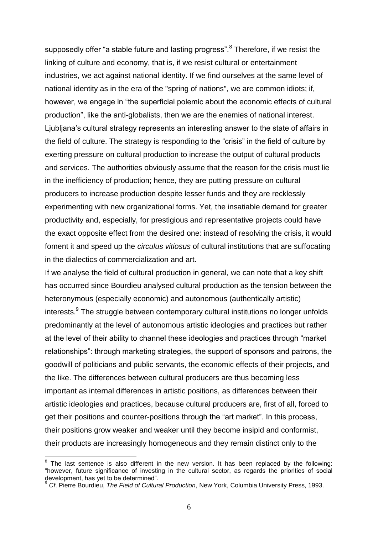supposedly offer "a stable future and lasting progress".<sup>8</sup> Therefore, if we resist the linking of culture and economy, that is, if we resist cultural or entertainment industries, we act against national identity. If we find ourselves at the same level of national identity as in the era of the "spring of nations", we are common idiots; if, however, we engage in "the superficial polemic about the economic effects of cultural production", like the anti-globalists, then we are the enemies of national interest. Ljubljana's cultural strategy represents an interesting answer to the state of affairs in the field of culture. The strategy is responding to the "crisis" in the field of culture by exerting pressure on cultural production to increase the output of cultural products and services. The authorities obviously assume that the reason for the crisis must lie in the inefficiency of production; hence, they are putting pressure on cultural producers to increase production despite lesser funds and they are recklessly experimenting with new organizational forms. Yet, the insatiable demand for greater productivity and, especially, for prestigious and representative projects could have the exact opposite effect from the desired one: instead of resolving the crisis, it would foment it and speed up the *circulus vitiosus* of cultural institutions that are suffocating in the dialectics of commercialization and art.

If we analyse the field of cultural production in general, we can note that a key shift has occurred since Bourdieu analysed cultural production as the tension between the heteronymous (especially economic) and autonomous (authentically artistic) interests.<sup>9</sup> The struggle between contemporary cultural institutions no longer unfolds predominantly at the level of autonomous artistic ideologies and practices but rather at the level of their ability to channel these ideologies and practices through "market relationships": through marketing strategies, the support of sponsors and patrons, the goodwill of politicians and public servants, the economic effects of their projects, and the like. The differences between cultural producers are thus becoming less important as internal differences in artistic positions, as differences between their artistic ideologies and practices, because cultural producers are, first of all, forced to get their positions and counter-positions through the "art market". In this process, their positions grow weaker and weaker until they become insipid and conformist, their products are increasingly homogeneous and they remain distinct only to the

 $8$  The last sentence is also different in the new version. It has been replaced by the following: "however, future significance of investing in the cultural sector, as regards the priorities of social development, has yet to be determined".

<sup>9</sup> *Cf*. Pierre Bourdieu, *The Field of Cultural Production*, New York, Columbia University Press, 1993.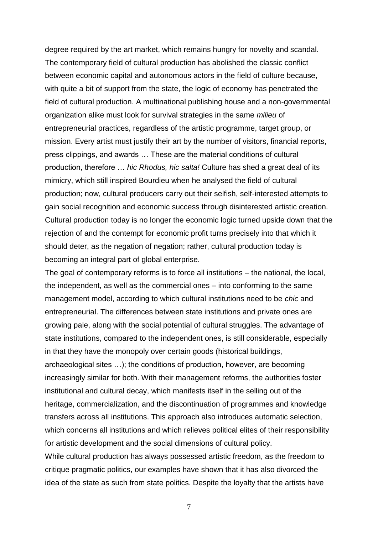degree required by the art market, which remains hungry for novelty and scandal. The contemporary field of cultural production has abolished the classic conflict between economic capital and autonomous actors in the field of culture because, with quite a bit of support from the state, the logic of economy has penetrated the field of cultural production. A multinational publishing house and a non-governmental organization alike must look for survival strategies in the same *milieu* of entrepreneurial practices, regardless of the artistic programme, target group, or mission. Every artist must justify their art by the number of visitors, financial reports, press clippings, and awards … These are the material conditions of cultural production, therefore … *hic Rhodus, hic salta!* Culture has shed a great deal of its mimicry, which still inspired Bourdieu when he analysed the field of cultural production; now, cultural producers carry out their selfish, self-interested attempts to gain social recognition and economic success through disinterested artistic creation. Cultural production today is no longer the economic logic turned upside down that the rejection of and the contempt for economic profit turns precisely into that which it should deter, as the negation of negation; rather, cultural production today is becoming an integral part of global enterprise.

The goal of contemporary reforms is to force all institutions – the national, the local, the independent, as well as the commercial ones – into conforming to the same management model, according to which cultural institutions need to be *chic* and entrepreneurial. The differences between state institutions and private ones are growing pale, along with the social potential of cultural struggles. The advantage of state institutions, compared to the independent ones, is still considerable, especially in that they have the monopoly over certain goods (historical buildings, archaeological sites …); the conditions of production, however, are becoming increasingly similar for both. With their management reforms, the authorities foster institutional and cultural decay, which manifests itself in the selling out of the heritage, commercialization, and the discontinuation of programmes and knowledge transfers across all institutions. This approach also introduces automatic selection, which concerns all institutions and which relieves political elites of their responsibility for artistic development and the social dimensions of cultural policy. While cultural production has always possessed artistic freedom, as the freedom to critique pragmatic politics, our examples have shown that it has also divorced the idea of the state as such from state politics. Despite the loyalty that the artists have